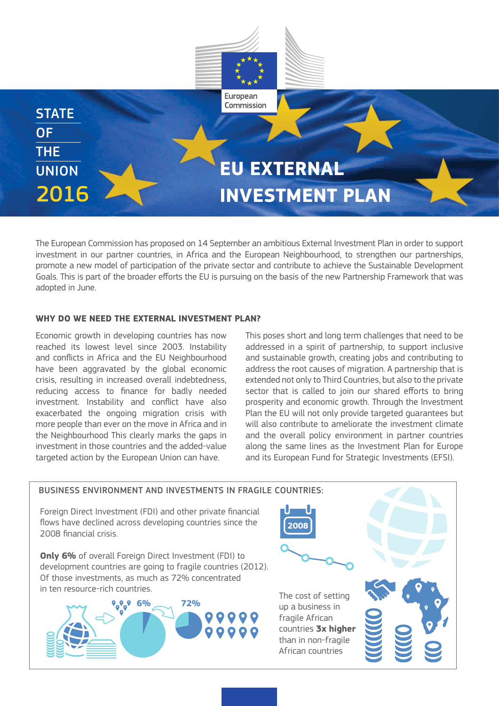

The European Commission has proposed on 14 September an ambitious External Investment Plan in order to support investment in our partner countries, in Africa and the European Neighbourhood, to strengthen our partnerships, promote a new model of participation of the private sector and contribute to achieve the Sustainable Development Goals. This is part of the broader efforts the EU is pursuing on the basis of the new Partnership Framework that was adopted in June.

### WHY DO WE NEED THE EXTERNAL INVESTMENT PLAN?

Economic growth in developing countries has now reached its lowest level since 2003. Instability and conflicts in Africa and the EU Neighbourhood have been aggravated by the global economic crisis, resulting in increased overall indebtedness, reducing access to finance for badly needed investment. Instability and conflict have also exacerbated the ongoing migration crisis with more people than ever on the move in Africa and in the Neighbourhood This clearly marks the gaps in investment in those countries and the added-value targeted action by the European Union can have.

This poses short and long term challenges that need to be addressed in a spirit of partnership, to support inclusive and sustainable growth, creating jobs and contributing to address the root causes of migration. A partnership that is extended not only to Third Countries, but also to the private sector that is called to join our shared efforts to bring prosperity and economic growth. Through the Investment Plan the EU will not only provide targeted guarantees but will also contribute to ameliorate the investment climate and the overall policy environment in partner countries along the same lines as the Investment Plan for Europe and its European Fund for Strategic Investments (EFSI).

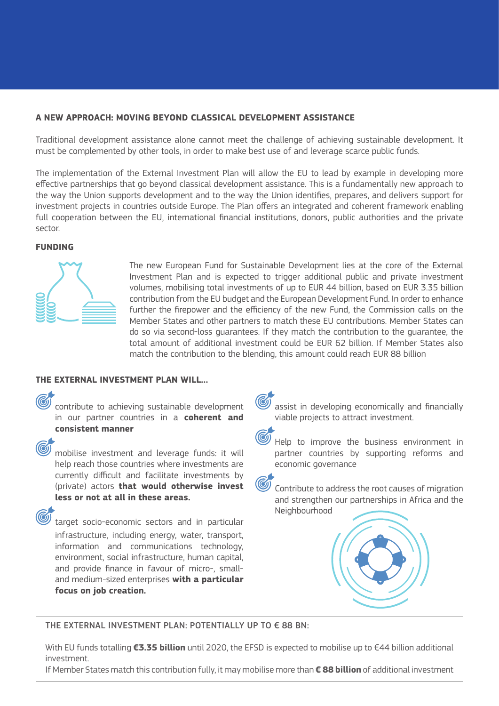# **A NEW APPROACH: MOVING BEYOND CLASSICAL DEVELOPMENT ASSISTANCE**

Traditional development assistance alone cannot meet the challenge of achieving sustainable development. It must be complemented by other tools, in order to make best use of and leverage scarce public funds.

The implementation of the External Investment Plan will allow the EU to lead by example in developing more effective partnerships that go beyond classical development assistance. This is a fundamentally new approach to the way the Union supports development and to the way the Union identifies, prepares, and delivers support for investment projects in countries outside Europe. The Plan offers an integrated and coherent framework enabling full cooperation between the EU, international financial institutions, donors, public authorities and the private sector.

### **FUNDING**



The new European Fund for Sustainable Development lies at the core of the External Investment Plan and is expected to trigger additional public and private investment volumes, mobilising total investments of up to EUR 44 billion, based on EUR 3.35 billion contribution from the EU budget and the European Development Fund. In order to enhance further the firepower and the efficiency of the new Fund, the Commission calls on the Member States and other partners to match these EU contributions. Member States can do so via second-loss guarantees. If they match the contribution to the guarantee, the total amount of additional investment could be EUR 62 billion. If Member States also match the contribution to the blending, this amount could reach EUR 88 billion

# **THE EXTERNAL INVESTMENT PLAN WILL…**

contribute to achieving sustainable development in our partner countries in a **coherent and consistent manner**

mobilise investment and leverage funds: it will help reach those countries where investments are currently difficult and facilitate investments by (private) actors **that would otherwise invest less or not at all in these areas.** 

target socio-economic sectors and in particular infrastructure, including energy, water, transport, information and communications technology, environment, social infrastructure, human capital, and provide finance in favour of micro-, smalland medium-sized enterprises **with a particular focus on job creation.**



Help to improve the business environment in partner countries by supporting reforms and economic governance



Contribute to address the root causes of migration and strengthen our partnerships in Africa and the Neighbourhood



THE EXTERNAL INVESTMENT PLAN: POTENTIALLY UP TO € 88 BN:

With EU funds totalling **€3.35 billion** until 2020, the EFSD is expected to mobilise up to €44 billion additional investment.

If Member States match this contribution fully, it may mobilise more than **€ 88 billion** of additional investment